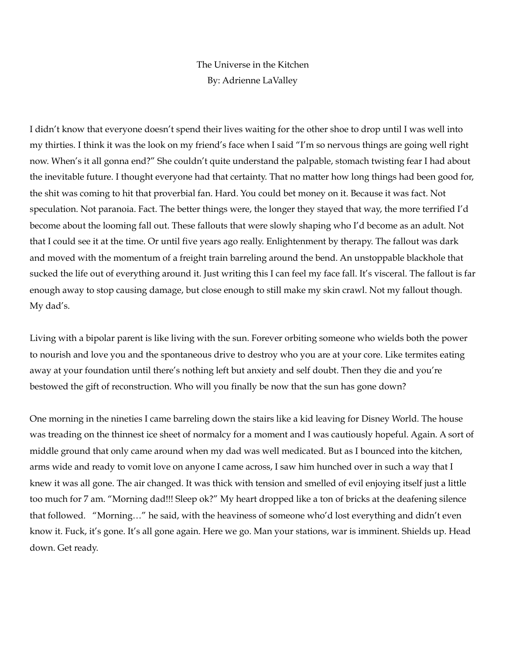## The Universe in the Kitchen By: Adrienne LaValley

I didn't know that everyone doesn't spend their lives waiting for the other shoe to drop until I was well into my thirties. I think it was the look on my friend's face when I said "I'm so nervous things are going well right now. When's it all gonna end?" She couldn't quite understand the palpable, stomach twisting fear I had about the inevitable future. I thought everyone had that certainty. That no matter how long things had been good for, the shit was coming to hit that proverbial fan. Hard. You could bet money on it. Because it was fact. Not speculation. Not paranoia. Fact. The better things were, the longer they stayed that way, the more terrified I'd become about the looming fall out. These fallouts that were slowly shaping who I'd become as an adult. Not that I could see it at the time. Or until five years ago really. Enlightenment by therapy. The fallout was dark and moved with the momentum of a freight train barreling around the bend. An unstoppable blackhole that sucked the life out of everything around it. Just writing this I can feel my face fall. It's visceral. The fallout is far enough away to stop causing damage, but close enough to still make my skin crawl. Not my fallout though. My dad's.

Living with a bipolar parent is like living with the sun. Forever orbiting someone who wields both the power to nourish and love you and the spontaneous drive to destroy who you are at your core. Like termites eating away at your foundation until there's nothing left but anxiety and self doubt. Then they die and you're bestowed the gift of reconstruction. Who will you finally be now that the sun has gone down?

One morning in the nineties I came barreling down the stairs like a kid leaving for Disney World. The house was treading on the thinnest ice sheet of normalcy for a moment and I was cautiously hopeful. Again. A sort of middle ground that only came around when my dad was well medicated. But as I bounced into the kitchen, arms wide and ready to vomit love on anyone I came across, I saw him hunched over in such a way that I knew it was all gone. The air changed. It was thick with tension and smelled of evil enjoying itself just a little too much for 7 am. "Morning dad!!! Sleep ok?" My heart dropped like a ton of bricks at the deafening silence that followed. "Morning…" he said, with the heaviness of someone who'd lost everything and didn't even know it. Fuck, it's gone. It's all gone again. Here we go. Man your stations, war is imminent. Shields up. Head down. Get ready.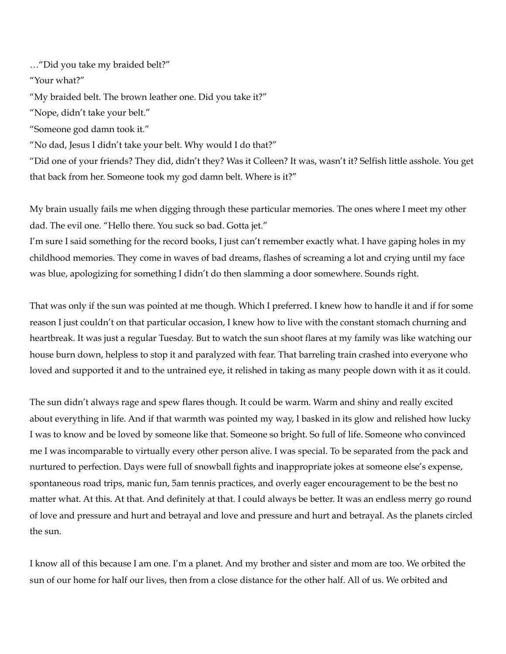…"Did you take my braided belt?"

"Your what?"

"My braided belt. The brown leather one. Did you take it?"

"Nope, didn't take your belt."

"Someone god damn took it."

"No dad, Jesus I didn't take your belt. Why would I do that?"

"Did one of your friends? They did, didn't they? Was it Colleen? It was, wasn't it? Selfish little asshole. You get that back from her. Someone took my god damn belt. Where is it?"

My brain usually fails me when digging through these particular memories. The ones where I meet my other dad. The evil one. "Hello there. You suck so bad. Gotta jet."

I'm sure I said something for the record books, I just can't remember exactly what. I have gaping holes in my childhood memories. They come in waves of bad dreams, flashes of screaming a lot and crying until my face was blue, apologizing for something I didn't do then slamming a door somewhere. Sounds right.

That was only if the sun was pointed at me though. Which I preferred. I knew how to handle it and if for some reason I just couldn't on that particular occasion, I knew how to live with the constant stomach churning and heartbreak. It was just a regular Tuesday. But to watch the sun shoot flares at my family was like watching our house burn down, helpless to stop it and paralyzed with fear. That barreling train crashed into everyone who loved and supported it and to the untrained eye, it relished in taking as many people down with it as it could.

The sun didn't always rage and spew flares though. It could be warm. Warm and shiny and really excited about everything in life. And if that warmth was pointed my way, I basked in its glow and relished how lucky I was to know and be loved by someone like that. Someone so bright. So full of life. Someone who convinced me I was incomparable to virtually every other person alive. I was special. To be separated from the pack and nurtured to perfection. Days were full of snowball fights and inappropriate jokes at someone else's expense, spontaneous road trips, manic fun, 5am tennis practices, and overly eager encouragement to be the best no matter what. At this. At that. And definitely at that. I could always be better. It was an endless merry go round of love and pressure and hurt and betrayal and love and pressure and hurt and betrayal. As the planets circled the sun.

I know all of this because I am one. I'm a planet. And my brother and sister and mom are too. We orbited the sun of our home for half our lives, then from a close distance for the other half. All of us. We orbited and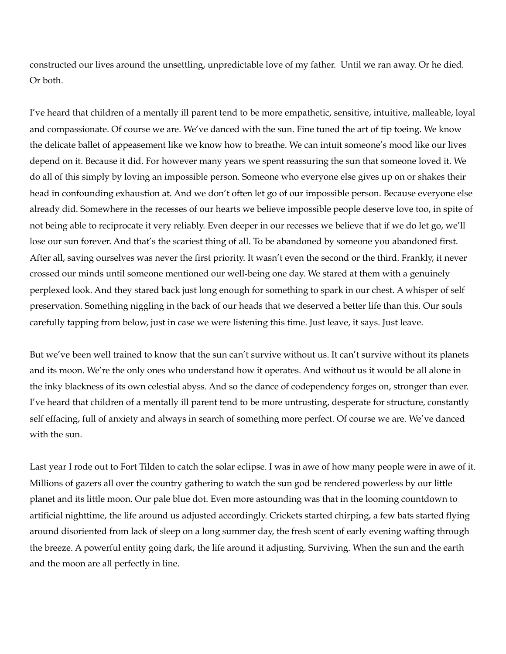constructed our lives around the unsettling, unpredictable love of my father. Until we ran away. Or he died. Or both.

I've heard that children of a mentally ill parent tend to be more empathetic, sensitive, intuitive, malleable, loyal and compassionate. Of course we are. We've danced with the sun. Fine tuned the art of tip toeing. We know the delicate ballet of appeasement like we know how to breathe. We can intuit someone's mood like our lives depend on it. Because it did. For however many years we spent reassuring the sun that someone loved it. We do all of this simply by loving an impossible person. Someone who everyone else gives up on or shakes their head in confounding exhaustion at. And we don't often let go of our impossible person. Because everyone else already did. Somewhere in the recesses of our hearts we believe impossible people deserve love too, in spite of not being able to reciprocate it very reliably. Even deeper in our recesses we believe that if we do let go, we'll lose our sun forever. And that's the scariest thing of all. To be abandoned by someone you abandoned first. After all, saving ourselves was never the first priority. It wasn't even the second or the third. Frankly, it never crossed our minds until someone mentioned our well-being one day. We stared at them with a genuinely perplexed look. And they stared back just long enough for something to spark in our chest. A whisper of self preservation. Something niggling in the back of our heads that we deserved a better life than this. Our souls carefully tapping from below, just in case we were listening this time. Just leave, it says. Just leave.

But we've been well trained to know that the sun can't survive without us. It can't survive without its planets and its moon. We're the only ones who understand how it operates. And without us it would be all alone in the inky blackness of its own celestial abyss. And so the dance of codependency forges on, stronger than ever. I've heard that children of a mentally ill parent tend to be more untrusting, desperate for structure, constantly self effacing, full of anxiety and always in search of something more perfect. Of course we are. We've danced with the sun.

Last year I rode out to Fort Tilden to catch the solar eclipse. I was in awe of how many people were in awe of it. Millions of gazers all over the country gathering to watch the sun god be rendered powerless by our little planet and its little moon. Our pale blue dot. Even more astounding was that in the looming countdown to artificial nighttime, the life around us adjusted accordingly. Crickets started chirping, a few bats started flying around disoriented from lack of sleep on a long summer day, the fresh scent of early evening wafting through the breeze. A powerful entity going dark, the life around it adjusting. Surviving. When the sun and the earth and the moon are all perfectly in line.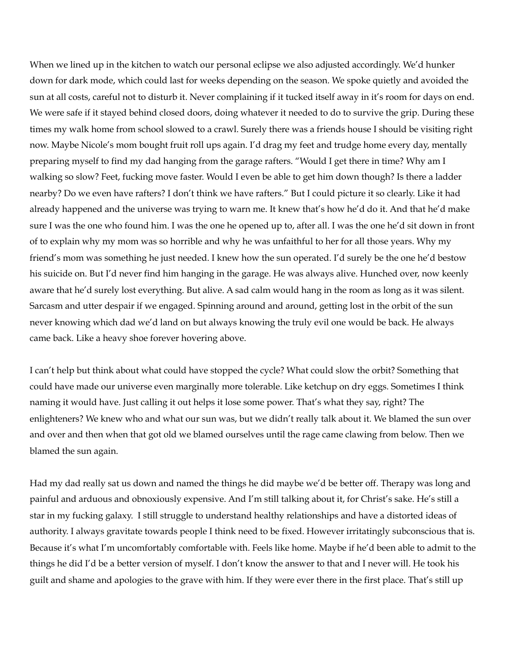When we lined up in the kitchen to watch our personal eclipse we also adjusted accordingly. We'd hunker down for dark mode, which could last for weeks depending on the season. We spoke quietly and avoided the sun at all costs, careful not to disturb it. Never complaining if it tucked itself away in it's room for days on end. We were safe if it stayed behind closed doors, doing whatever it needed to do to survive the grip. During these times my walk home from school slowed to a crawl. Surely there was a friends house I should be visiting right now. Maybe Nicole's mom bought fruit roll ups again. I'd drag my feet and trudge home every day, mentally preparing myself to find my dad hanging from the garage rafters. "Would I get there in time? Why am I walking so slow? Feet, fucking move faster. Would I even be able to get him down though? Is there a ladder nearby? Do we even have rafters? I don't think we have rafters." But I could picture it so clearly. Like it had already happened and the universe was trying to warn me. It knew that's how he'd do it. And that he'd make sure I was the one who found him. I was the one he opened up to, after all. I was the one he'd sit down in front of to explain why my mom was so horrible and why he was unfaithful to her for all those years. Why my friend's mom was something he just needed. I knew how the sun operated. I'd surely be the one he'd bestow his suicide on. But I'd never find him hanging in the garage. He was always alive. Hunched over, now keenly aware that he'd surely lost everything. But alive. A sad calm would hang in the room as long as it was silent. Sarcasm and utter despair if we engaged. Spinning around and around, getting lost in the orbit of the sun never knowing which dad we'd land on but always knowing the truly evil one would be back. He always came back. Like a heavy shoe forever hovering above.

I can't help but think about what could have stopped the cycle? What could slow the orbit? Something that could have made our universe even marginally more tolerable. Like ketchup on dry eggs. Sometimes I think naming it would have. Just calling it out helps it lose some power. That's what they say, right? The enlighteners? We knew who and what our sun was, but we didn't really talk about it. We blamed the sun over and over and then when that got old we blamed ourselves until the rage came clawing from below. Then we blamed the sun again.

Had my dad really sat us down and named the things he did maybe we'd be better off. Therapy was long and painful and arduous and obnoxiously expensive. And I'm still talking about it, for Christ's sake. He's still a star in my fucking galaxy. I still struggle to understand healthy relationships and have a distorted ideas of authority. I always gravitate towards people I think need to be fixed. However irritatingly subconscious that is. Because it's what I'm uncomfortably comfortable with. Feels like home. Maybe if he'd been able to admit to the things he did I'd be a better version of myself. I don't know the answer to that and I never will. He took his guilt and shame and apologies to the grave with him. If they were ever there in the first place. That's still up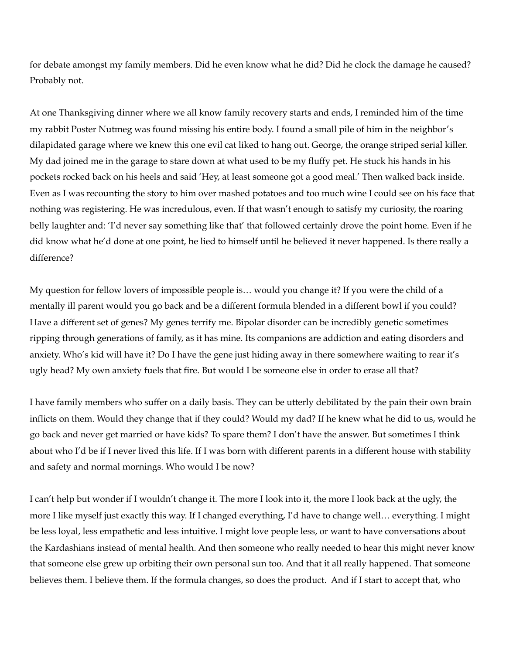for debate amongst my family members. Did he even know what he did? Did he clock the damage he caused? Probably not.

At one Thanksgiving dinner where we all know family recovery starts and ends, I reminded him of the time my rabbit Poster Nutmeg was found missing his entire body. I found a small pile of him in the neighbor's dilapidated garage where we knew this one evil cat liked to hang out. George, the orange striped serial killer. My dad joined me in the garage to stare down at what used to be my fluffy pet. He stuck his hands in his pockets rocked back on his heels and said 'Hey, at least someone got a good meal.' Then walked back inside. Even as I was recounting the story to him over mashed potatoes and too much wine I could see on his face that nothing was registering. He was incredulous, even. If that wasn't enough to satisfy my curiosity, the roaring belly laughter and: 'I'd never say something like that' that followed certainly drove the point home. Even if he did know what he'd done at one point, he lied to himself until he believed it never happened. Is there really a difference?

My question for fellow lovers of impossible people is… would you change it? If you were the child of a mentally ill parent would you go back and be a different formula blended in a different bowl if you could? Have a different set of genes? My genes terrify me. Bipolar disorder can be incredibly genetic sometimes ripping through generations of family, as it has mine. Its companions are addiction and eating disorders and anxiety. Who's kid will have it? Do I have the gene just hiding away in there somewhere waiting to rear it's ugly head? My own anxiety fuels that fire. But would I be someone else in order to erase all that?

I have family members who suffer on a daily basis. They can be utterly debilitated by the pain their own brain inflicts on them. Would they change that if they could? Would my dad? If he knew what he did to us, would he go back and never get married or have kids? To spare them? I don't have the answer. But sometimes I think about who I'd be if I never lived this life. If I was born with different parents in a different house with stability and safety and normal mornings. Who would I be now?

I can't help but wonder if I wouldn't change it. The more I look into it, the more I look back at the ugly, the more I like myself just exactly this way. If I changed everything, I'd have to change well… everything. I might be less loyal, less empathetic and less intuitive. I might love people less, or want to have conversations about the Kardashians instead of mental health. And then someone who really needed to hear this might never know that someone else grew up orbiting their own personal sun too. And that it all really happened. That someone believes them. I believe them. If the formula changes, so does the product. And if I start to accept that, who